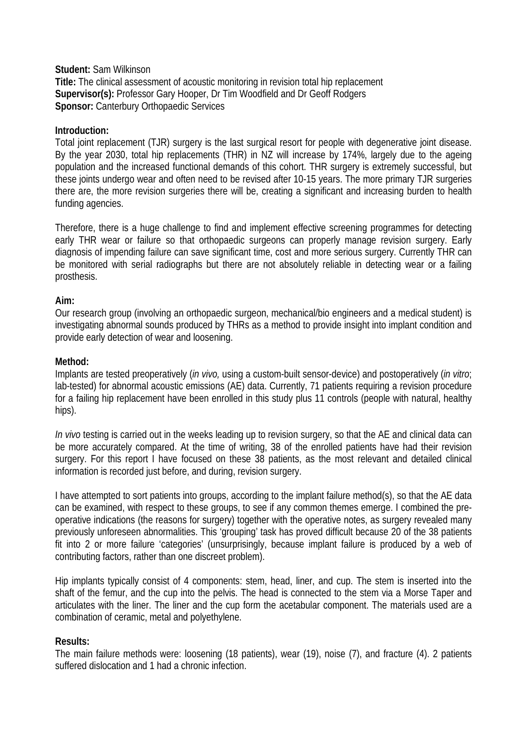**Student:** Sam Wilkinson **Title:** The clinical assessment of acoustic monitoring in revision total hip replacement **Supervisor(s):** Professor Gary Hooper, Dr Tim Woodfield and Dr Geoff Rodgers **Sponsor:** Canterbury Orthopaedic Services

# **Introduction:**

Total joint replacement (TJR) surgery is the last surgical resort for people with degenerative joint disease. By the year 2030, total hip replacements (THR) in NZ will increase by 174%, largely due to the ageing population and the increased functional demands of this cohort. THR surgery is extremely successful, but these joints undergo wear and often need to be revised after 10-15 years. The more primary TJR surgeries there are, the more revision surgeries there will be, creating a significant and increasing burden to health funding agencies.

Therefore, there is a huge challenge to find and implement effective screening programmes for detecting early THR wear or failure so that orthopaedic surgeons can properly manage revision surgery. Early diagnosis of impending failure can save significant time, cost and more serious surgery. Currently THR can be monitored with serial radiographs but there are not absolutely reliable in detecting wear or a failing prosthesis.

# **Aim:**

Our research group (involving an orthopaedic surgeon, mechanical/bio engineers and a medical student) is investigating abnormal sounds produced by THRs as a method to provide insight into implant condition and provide early detection of wear and loosening.

# **Method:**

Implants are tested preoperatively (*in vivo,* using a custom-built sensor-device) and postoperatively (*in vitro*; lab-tested) for abnormal acoustic emissions (AE) data. Currently, 71 patients requiring a revision procedure for a failing hip replacement have been enrolled in this study plus 11 controls (people with natural, healthy hips).

*In vivo* testing is carried out in the weeks leading up to revision surgery, so that the AE and clinical data can be more accurately compared. At the time of writing, 38 of the enrolled patients have had their revision surgery. For this report I have focused on these 38 patients, as the most relevant and detailed clinical information is recorded just before, and during, revision surgery.

I have attempted to sort patients into groups, according to the implant failure method(s), so that the AE data can be examined, with respect to these groups, to see if any common themes emerge. I combined the preoperative indications (the reasons for surgery) together with the operative notes, as surgery revealed many previously unforeseen abnormalities. This 'grouping' task has proved difficult because 20 of the 38 patients fit into 2 or more failure 'categories' (unsurprisingly, because implant failure is produced by a web of contributing factors, rather than one discreet problem).

Hip implants typically consist of 4 components: stem, head, liner, and cup. The stem is inserted into the shaft of the femur, and the cup into the pelvis. The head is connected to the stem via a Morse Taper and articulates with the liner. The liner and the cup form the acetabular component. The materials used are a combination of ceramic, metal and polyethylene.

### **Results:**

The main failure methods were: loosening (18 patients), wear (19), noise (7), and fracture (4). 2 patients suffered dislocation and 1 had a chronic infection.